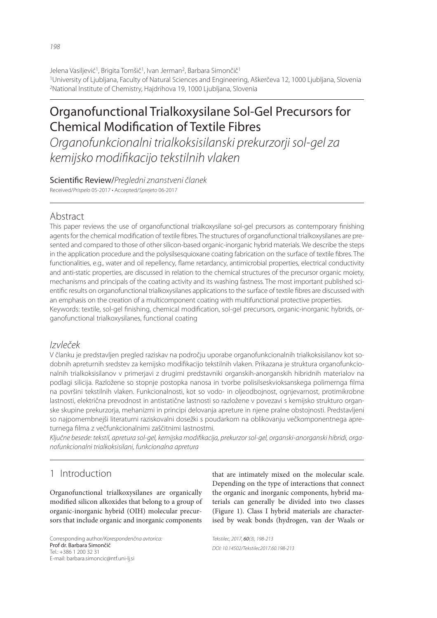Jelena Vasiljević<sup>1</sup>, Brigita Tomšič<sup>1</sup>, Ivan Jerman<sup>2</sup>, Barbara Simončič<sup>1</sup> <sup>1</sup>University of Ljubljana, Faculty of Natural Sciences and Engineering, Aškerčeva 12, 1000 Ljubljana, Slovenia <sup>2</sup>National Institute of Chemistry, Hajdrihova 19, 1000 Ljubljana, Slovenia

# Organofunctional Trialkoxysilane Sol-Gel Precursors for **Chemical Modification of Textile Fibres**

*Organofunkcionalni trialkoksisilanski prekurzorji sol-gel za kemijsko modifi kacijo tekstilnih vlaken*

Scientific Review/Pregledni znanstveni članek Received/*Prispelo* 05-2017 • Accepted/*Sprejeto* 06-2017

# Abstract

This paper reviews the use of organofunctional trialkoxysilane sol-gel precursors as contemporary finishing agents for the chemical modification of textile fibres. The structures of organofunctional trialkoxysilanes are presented and compared to those of other silicon-based organic-inorganic hybrid materials. We describe the steps in the application procedure and the polysilsesquioxane coating fabrication on the surface of textile fibres. The functionalities, e.g., water and oil repellency, flame retardancy, antimicrobial properties, electrical conductivity and anti-static properties, are discussed in relation to the chemical structures of the precursor organic moiety, mechanisms and principals of the coating activity and its washing fastness. The most important published scientific results on organofunctional trialkoxysilanes applications to the surface of textile fibres are discussed with an emphasis on the creation of a multicomponent coating with multifunctional protective properties. Keywords: textile, sol-gel finishing, chemical modification, sol-gel precursors, organic-inorganic hybrids, organofunctional trialkoxysilanes, functional coating

#### *Izvleček*

V članku je predstavljen pregled raziskav na področju uporabe organofunkcionalnih trialkoksisilanov kot sodobnih apreturnih sredstev za kemijsko modifikacijo tekstilnih vlaken. Prikazana je struktura organofunkcionalnih trialkoksisilanov v primerjavi z drugimi predstavniki organskih-anorganskih hibridnih materialov na podlagi silicija. Razložene so stopnje postopka nanosa in tvorbe polisilseskvioksanskega polimernga filma na površini tekstilnih vlaken. Funkcionalnosti, kot so vodo- in oljeodbojnost, ognjevarnost, protimikrobne lastnosti, električna prevodnost in antistatične lastnosti so razložene v povezavi s kemijsko strukturo organske skupine prekurzorja, mehanizmi in principi delovanja apreture in njene pralne obstojnosti. Predstavljeni so najpomembnejši literaturni raziskovalni dosežki s poudarkom na oblikovanju večkomponentnega apreturnega filma z večfunkcionalnimi zaščitnimi lastnostmi.

*Ključne besede: tekstil, apretura sol-gel, kemijska modifi kacija, prekurzor sol-gel, organski-anorganski hibridi, organofunkcionalni trialkoksisilani, funkcionalna apretura*

# 1 Introduction

Organofunctional trialkoxysilanes are organically modified silicon alkoxides that belong to a group of organic-inorganic hybrid (OIH) molecular precursors that include organic and inorganic components

Corresponding author/*Korespondenčna avtorica:* Prof dr. Barbara Simončič Tel.: +386 1 200 32 31 E-mail: barbara.simoncic@ntf.uni-lj.si

that are intimately mixed on the molecular scale. Depending on the type of interactions that connect the organic and inorganic components, hybrid materials can generally be divided into two classes (Figure 1). Class I hybrid materials are characterised by weak bonds (hydrogen, van der Waals or

*Tekstilec, 2017,* 60*(3), 198-213 DOI: 10.14502/Tekstilec2017.60.198-213*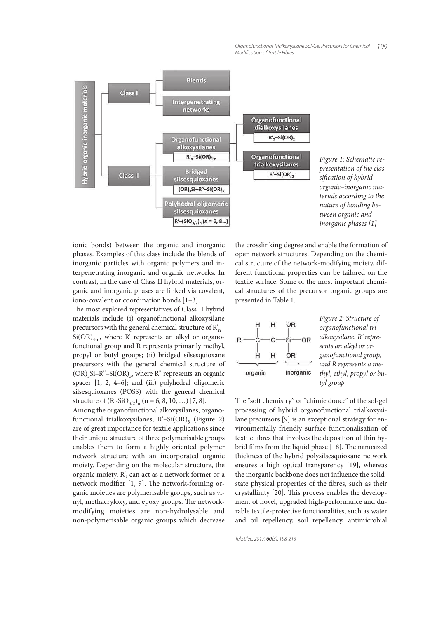

ionic bonds) between the organic and inorganic phases. Examples of this class include the blends of inorganic particles with organic polymers and interpenetrating inorganic and organic networks. In contrast, in the case of Class II hybrid materials, organic and inorganic phases are linked via covalent, iono-covalent or coordination bonds [1–3].

The most explored representatives of Class II hybrid materials include (i) organofunctional alkoxysilane precursors with the general chemical structure of R'<sup>n</sup> –  $Si(OR)_{4-n}$ , where R' represents an alkyl or organofunctional group and R represents primarily methyl, propyl or butyl groups; (ii) bridged silsesquioxane precursors with the general chemical structure of  $(OR)_3$ Si–R"–Si $(OR)_3$ , where R" represents an organic spacer [1, 2, 4–6]; and (iii) polyhedral oligomeric silsesquioxanes (POSS) with the general chemical structure of  $(R'-SiO_{3/2})_n$  (n = 6, 8, 10, ...) [7, 8].

Among the organofunctional alkoxysilanes, organofunctional trialkoxysilanes,  $R'-Si(OR)$ <sub>3</sub> (Figure 2) are of great importance for textile applications since their unique structure of three polymerisable groups enables them to form a highly oriented polymer network structure with an incorporated organic moiety. Depending on the molecular structure, the organic moiety, R', can act as a network former or a network modifier  $[1, 9]$ . The network-forming organic moieties are polymerisable groups, such as vinyl, methacryloxy, and epoxy groups. The networkmodifying moieties are non-hydrolysable and non-polymerisable organic groups which decrease

the crosslinking degree and enable the formation of open network structures. Depending on the chemical structure of the network-modifying moiety, different functional properties can be tailored on the textile surface. Some of the most important chemical structures of the precursor organic groups are presented in Table 1.



The "soft chemistry" or "chimie douce" of the sol-gel processing of hybrid organofunctional trialkoxysilane precursors [9] is an exceptional strategy for environmentally friendly surface functionalisation of textile fibres that involves the deposition of thin hybrid films from the liquid phase [18]. The nanosized thickness of the hybrid polysilsesquioxane network ensures a high optical transparency [19], whereas the inorganic backbone does not influence the solidstate physical properties of the fibres, such as their crystallinity [20]. This process enables the development of novel, upgraded high-performance and durable textile-protective functionalities, such as water and oil repellency, soil repellency, antimicrobial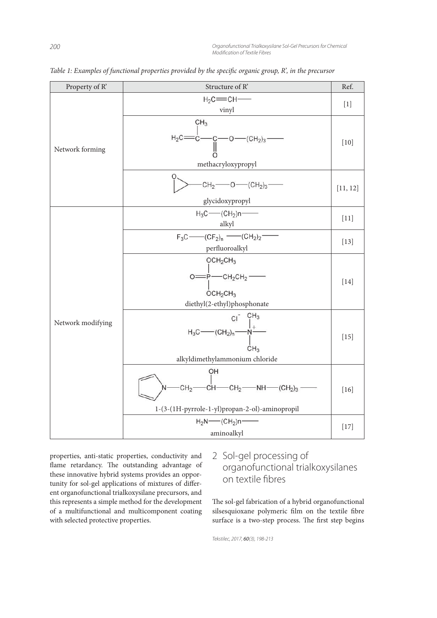| Property of R'    | Structure of R'                                                                                                                                                                                                                            | Ref.     |
|-------------------|--------------------------------------------------------------------------------------------------------------------------------------------------------------------------------------------------------------------------------------------|----------|
| Network forming   | $H_2C = CH$                                                                                                                                                                                                                                | $[1]$    |
|                   | vinyl                                                                                                                                                                                                                                      |          |
|                   | CH <sub>3</sub><br>$H_2C = C - C - O - (CH_2)_3$<br>methacryloxypropyl                                                                                                                                                                     | $[10]$   |
|                   | $-CH_2$ - $O$ - $(CH_2)_3$ -<br>glycidoxypropyl                                                                                                                                                                                            | [11, 12] |
| Network modifying | $H_3C$ - $(CH_2)n$ -<br>alkyl                                                                                                                                                                                                              | $[11]$   |
|                   | $F_3C$ - $(CF_2)_n$ - $(CH_2)_2$<br>perfluoroalkyl                                                                                                                                                                                         | $[13]$   |
|                   | OCH <sub>2</sub> CH <sub>3</sub><br>$0 = \dot{P}$ - $CH_2CH_2$ -<br>OCH <sub>2</sub> CH <sub>3</sub><br>diethyl(2-ethyl)phosphonate                                                                                                        | $[14]$   |
|                   | $\begin{array}{cc} & & \text{CI}^{\text{-}} & \overset{\text{CH}_3}{\mid} \\ H_3\text{C} & \overset{\text{H}_2}{\mid} \\ \text{H}_3\text{C} & \overset{\text{H}_2}{\mid} \end{array}$<br>CH <sub>3</sub><br>alkyldimethylammonium chloride | $[15]$   |
|                   | OH<br>$-CH_2$ —CH—CH <sub>2</sub> —NH—(CH <sub>2</sub> ) <sub>3</sub> ——<br>1-(3-(1H-pyrrole-1-yl)propan-2-ol)-aminopropil                                                                                                                 | $[16]$   |
|                   | $H_2N$ $\longrightarrow$ $(CH_2)n$ $\rightarrow$<br>aminoalkyl                                                                                                                                                                             | $[17]$   |

Table 1: Examples of functional properties provided by the specific organic group, R', in the precursor

properties, anti-static properties, conductivity and flame retardancy. The outstanding advantage of these innovative hybrid systems provides an opportunity for sol-gel applications of mixtures of different organofunctional trialkoxysilane precursors, and this represents a simple method for the development of a multifunctional and multicomponent coating with selected protective properties.

# 2 Sol-gel processing of organofunctional trialkoxysilanes on textile fibres

The sol-gel fabrication of a hybrid organofunctional silsesquioxane polymeric film on the textile fibre surface is a two-step process. The first step begins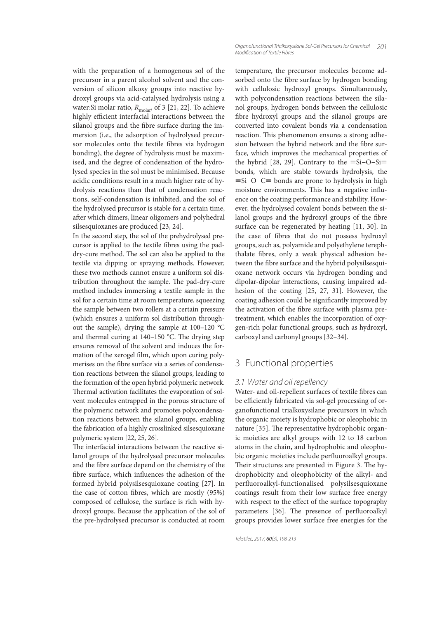with the preparation of a homogenous sol of the precursor in a parent alcohol solvent and the conversion of silicon alkoxy groups into reactive hydroxyl groups via acid-catalysed hydrolysis using a water:Si molar ratio,  $R_{\text{molar}}$ , of 3 [21, 22]. To achieve highly efficient interfacial interactions between the silanol groups and the fibre surface during the immersion (i.e., the adsorption of hydrolysed precursor molecules onto the textile fibres via hydrogen bonding), the degree of hydrolysis must be maximised, and the degree of condensation of the hydrolysed species in the sol must be minimised. Because acidic conditions result in a much higher rate of hydrolysis reactions than that of condensation reactions, self-condensation is inhibited, and the sol of the hydrolysed precursor is stable for a certain time, after which dimers, linear oligomers and polyhedral silsesquioxanes are produced [23, 24].

In the second step, the sol of the prehydrolysed precursor is applied to the textile fibres using the paddry-cure method. The sol can also be applied to the textile via dipping or spraying methods. However, these two methods cannot ensure a uniform sol distribution throughout the sample. The pad-dry-cure method includes immersing a textile sample in the sol for a certain time at room temperature, squeezing the sample between two rollers at a certain pressure (which ensures a uniform sol distribution throughout the sample), drying the sample at 100–120 °C and thermal curing at  $140-150$  °C. The drying step ensures removal of the solvent and induces the formation of the xerogel film, which upon curing polymerises on the fibre surface via a series of condensation reactions between the silanol groups, leading to the formation of the open hybrid polymeric network. Thermal activation facilitates the evaporation of solvent molecules entrapped in the porous structure of the polymeric network and promotes polycondensation reactions between the silanol groups, enabling the fabrication of a highly crosslinked silsesquioxane polymeric system [22, 25, 26].

The interfacial interactions between the reactive silanol groups of the hydrolysed precursor molecules and the fibre surface depend on the chemistry of the fibre surface, which influences the adhesion of the formed hybrid polysilsesquioxane coating [27]. In the case of cotton fibres, which are mostly (95%) composed of cellulose, the surface is rich with hydroxyl groups. Because the application of the sol of the pre-hydrolysed precursor is conducted at room

*Organofunctional Trialkoxysilane Sol-Gel Precursors for Chemical 201 Modifi cation of Textile Fibres*

temperature, the precursor molecules become adsorbed onto the fibre surface by hydrogen bonding with cellulosic hydroxyl groups. Simultaneously, with polycondensation reactions between the silanol groups, hydrogen bonds between the cellulosic fibre hydroxyl groups and the silanol groups are converted into covalent bonds via a condensation reaction. This phenomenon ensures a strong adhesion between the hybrid network and the fibre surface, which improves the mechanical properties of the hybrid [28, 29]. Contrary to the  $\equiv$ Si−O−Si $\equiv$ bonds, which are stable towards hydrolysis, the ≡Si–O–C≡ bonds are prone to hydrolysis in high moisture environments. This has a negative influence on the coating performance and stability. However, the hydrolysed covalent bonds between the silanol groups and the hydroxyl groups of the fibre surface can be regenerated by heating [11, 30]. In the case of fibres that do not possess hydroxyl groups, such as, polyamide and polyethylene terephthalate fibres, only a weak physical adhesion between the fibre surface and the hybrid polysilsesquioxane network occurs via hydrogen bonding and dipolar-dipolar interactions, causing impaired adhesion of the coating [25, 27, 31]. However, the coating adhesion could be significantly improved by the activation of the fibre surface with plasma pretreatment, which enables the incorporation of oxygen-rich polar functional groups, such as hydroxyl, carboxyl and carbonyl groups [32–34].

# 3 Functional properties

#### *3.1 Water and oil repellency*

Water- and oil-repellent surfaces of textile fibres can be efficiently fabricated via sol-gel processing of organofunctional trialkoxysilane precursors in which the organic moiety is hydrophobic or oleophobic in nature [35]. The representative hydrophobic organic moieties are alkyl groups with 12 to 18 carbon atoms in the chain, and hydrophobic and oleophobic organic moieties include perfluoroalkyl groups. Their structures are presented in Figure 3. The hydrophobicity and oleophobicity of the alkyl- and perfluoroalkyl-functionalised polysilsesquioxane coatings result from their low surface free energy with respect to the effect of the surface topography parameters [36]. The presence of perfluoroalkyl groups provides lower surface free energies for the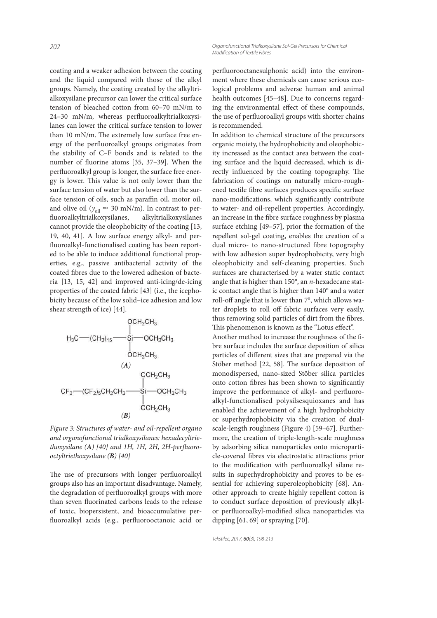coating and a weaker adhesion between the coating and the liquid compared with those of the alkyl groups. Namely, the coating created by the alkyltrialkoxysilane precursor can lower the critical surface tension of bleached cotton from 60–70 mN/m to 24-30 mN/m, whereas perfluoroalkyltrialkoxysilanes can lower the critical surface tension to lower than  $10 \text{ mN/m}$ . The extremely low surface free energy of the perfluoroalkyl groups originates from the stability of C–F bonds and is related to the number of fluorine atoms [35, 37-39]. When the perfluoroalkyl group is longer, the surface free energy is lower. This value is not only lower than the surface tension of water but also lower than the surface tension of oils, such as paraffin oil, motor oil,

and olive oil ( $y_{\text{oil}} \approx 30 \text{ mN/m}$ ). In contrast to perfluoroalkyltrialkoxysilanes, alkyltrialkoxysilanes cannot provide the oleophobicity of the coating [13, 19, 40, 41]. A low surface energy alkyl- and per fluoroalkyl-functionalised coating has been reported to be able to induce additional functional properties, e.g., passive antibacterial activity of the coated fibres due to the lowered adhesion of bacteria [13, 15, 42] and improved anti-icing/de-icing properties of the coated fabric [43] (i.e., the icephobicity because of the low solid–ice adhesion and low shear strength of ice) [44].



Figure 3: Structures of water- and oil-repellent organo and organofunctional trialkoxysilanes: hexadecyltriethoxysilane  $(A)$  [40] and 1H, 1H, 2H, 2H-perfluorooctyltriethoxysilane (**B**) [40]

The use of precursors with longer perfluoroalkyl groups also has an important disadvantage. Namely, the degradation of perfluoroalkyl groups with more than seven fluorinated carbons leads to the release of toxic, biopersistent, and bioaccumulative per fluoroalkyl acids (e.g., perfluorooctanoic acid or

perfluorooctanesulphonic acid) into the environment where these chemicals can cause serious ecological problems and adverse human and animal health outcomes [45–48]. Due to concerns regarding the environmental effect of these compounds, the use of perfluoroalkyl groups with shorter chains is recommended.

In addition to chemical structure of the precursors organic moiety, the hydrophobicity and oleophobicity increased as the contact area between the coating surface and the liquid decreased, which is directly influenced by the coating topography. The fabrication of coatings on naturally micro-roughened textile fibre surfaces produces specific surface nano-modifications, which significantly contribute to water- and oil-repellent properties. Accordingly, an increase in the fibre surface roughness by plasma surface etching [49–57], prior the formation of the repellent sol-gel coating, enables the creation of a dual micro- to nano-structured fibre topography with low adhesion super hydrophobicity, very high oleophobicity and self-cleaning properties. Such surfaces are characterised by a water static contact angle that is higher than  $150^{\circ}$ , an *n*-hexadecane static contact angle that is higher than 140° and a water roll-off angle that is lower than 7°, which allows water droplets to roll off fabric surfaces very easily, thus removing solid particles of dirt from the fibres. This phenomenon is known as the "Lotus effect".

Another method to increase the roughness of the fibre surface includes the surface deposition of silica particles of different sizes that are prepared via the Stöber method [22, 58]. The surface deposition of monodispersed, nano-sized Stöber silica particles onto cotton fibres has been shown to significantly improve the performance of alkyl- and perfluoroalkyl-functionalised polysilsesquioxanes and has enabled the achievement of a high hydrophobicity or superhydrophobicity via the creation of dualscale-length roughness (Figure 4) [59–67]. Furthermore, the creation of triple-length-scale roughness by adsorbing silica nanoparticles onto microparticle-covered bres via electrostatic attractions prior to the modification with perfluoroalkyl silane results in superhydrophobicity and proves to be essential for achieving superoleophobicity [68]. Another approach to create highly repellent cotton is to conduct surface deposition of previously alkylor perfluoroalkyl-modified silica nanoparticles via dipping  $[61, 69]$  or spraying  $[70]$ .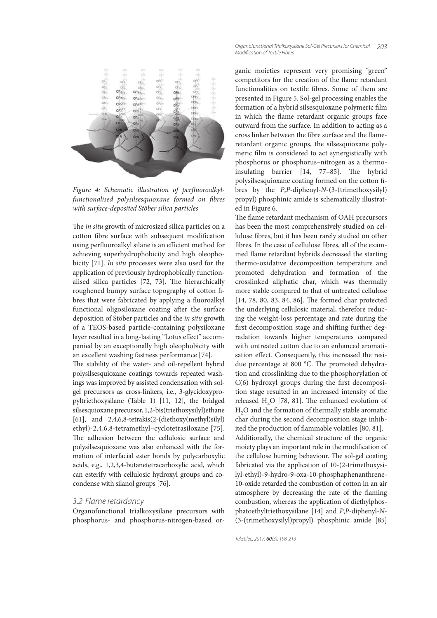

Figure 4: Schematic illustration of perfluoroalkylfunctionalised polysilsesquioxane formed on fibres with surface-deposited Stöber silica particles

The in situ growth of microsized silica particles on a cotton fibre surface with subsequent modification using perfluoroalkyl silane is an efficient method for achieving superhydrophobicity and high oleophobicity [71]. *In situ* processes were also used for the application of previously hydrophobically functionalised silica particles [72, 73]. The hierarchically roughened bumpy surface topography of cotton fibres that were fabricated by applying a fluoroalkyl functional oligosiloxane coating after the surface deposition of Stöber particles and the in situ growth of a TEOS-based particle-containing polysiloxane layer resulted in a long-lasting "Lotus effect" accompanied by an exceptionally high oleophobicity with an excellent washing fastness performance [74].

The stability of the water- and oil-repellent hybrid polysilsesquioxane coatings towards repeated washings was improved by assisted condensation with solgel precursors as cross-linkers, i.e., 3-glycidoxypropyltriethoxysilane (Table 1) [11, 12], the bridged silsesquioxane precursor, 1,2-bis(triethoxysilyl)ethane [61], and 2,4,6,8-tetrakis(2-(diethoxy(methyl)silyl) ethyl)-2,4,6,8-tetramethyl–cyclotetrasiloxane [75]. The adhesion between the cellulosic surface and polysilsesquioxane was also enhanced with the formation of interfacial ester bonds by polycarboxylic acids, e.g., 1,2,3,4-butanetetracarboxylic acid, which can esterify with cellulosic hydroxyl groups and cocondense with silanol groups [76].

#### *3.2 Flame retardancy*

Organofunctional trialkoxysilane precursors with phosphorus- and phosphorus-nitrogen-based organic moieties represent very promising "green" competitors for the creation of the flame retardant functionalities on textile fibres. Some of them are presented in Figure 5. Sol-gel processing enables the formation of a hybrid silsesquioxane polymeric film in which the flame retardant organic groups face outward from the surface. In addition to acting as a cross linker between the fibre surface and the flameretardant organic groups, the silsesquioxane polymeric film is considered to act synergistically with phosphorus or phosphorus–nitrogen as a thermoinsulating barrier  $[14, 77-85]$ . The hybrid polysilsesquioxane coating formed on the cotton fibres by the P,P-diphenyl-N-(3-(trimethoxysilyl) propyl) phosphinic amide is schematically illustrated in Figure 6.

The flame retardant mechanism of OAH precursors has been the most comprehensively studied on cellulose fibres, but it has been rarely studied on other fibres. In the case of cellulose fibres, all of the examined flame retardant hybrids decreased the starting thermo-oxidative decomposition temperature and promoted dehydration and formation of the crosslinked aliphatic char, which was thermally more stable compared to that of untreated cellulose  $[14, 78, 80, 83, 84, 86]$ . The formed char protected the underlying cellulosic material, therefore reducing the weight-loss percentage and rate during the first decomposition stage and shifting further degradation towards higher temperatures compared with untreated cotton due to an enhanced aromatisation effect. Consequently, this increased the residue percentage at 800 °C. The promoted dehydration and crosslinking due to the phosphorylation of  $C(6)$  hydroxyl groups during the first decomposition stage resulted in an increased intensity of the released  $H<sub>2</sub>O$  [78, 81]. The enhanced evolution of  $H<sub>2</sub>O$  and the formation of thermally stable aromatic char during the second decomposition stage inhibited the production of flammable volatiles [80, 81]. Additionally, the chemical structure of the organic moiety plays an important role in the modification of the cellulose burning behaviour. The sol-gel coating fabricated via the application of 10-(2-trimethoxysilyl-ethyl)-9-hydro-9-oxa-10-phosphaphenanthrene-10-oxide retarded the combustion of cotton in an air atmosphere by decreasing the rate of the flaming combustion, whereas the application of diethylphosphatoethyltriethoxysilane [14] and P,P-diphenyl-N- (3-(trimethoxysilyl)propyl) phosphinic amide [85]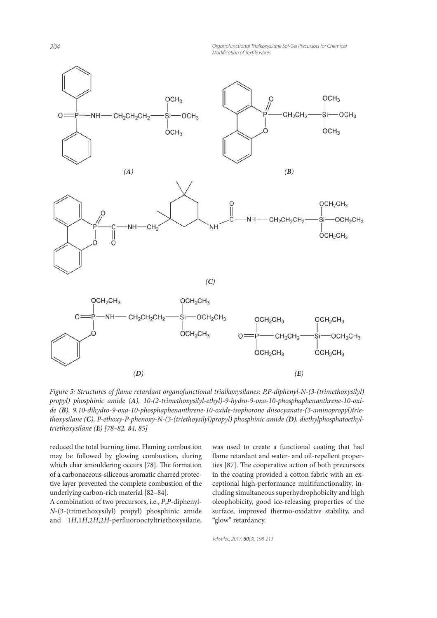*204 Organofunctional Trialkoxysilane Sol-Gel Precursors for Chemical Modifi cation of Textile Fibres*



Figure 5: Structures of flame retardant organofunctional trialkoxysilanes: P,P-diphenyl-N-(3-(trimethoxysilyl) propyl) phosphinic amide (**A**), 10-(2-trimethoxysilyl-ethyl)-9-hydro-9-oxa-10-phosphaphenanthrene-10-oxide (**B**), 9,10-dihydro-9-oxa-10-phosphaphenanthrene-10-oxide-isophorone diisocyanate-(3-aminopropyl)triethoxysilane (**C**), P-ethoxy-P-phenoxy-N-(3-(triethoysilyl)propyl) phosphinic amide (**D**), diethylphosphatoethyltriethoxysilane (**E**) [78‒82, 84, 85]

reduced the total burning time. Flaming combustion may be followed by glowing combustion, during which char smouldering occurs [78]. The formation of a carbonaceous-siliceous aromatic charred protective layer prevented the complete combustion of the underlying carbon-rich material [82–84].

A combination of two precursors, i.e., P,P-diphenyl-N-(3-(trimethoxysilyl) propyl) phosphinic amide and 1H,1H,2H,2H-perfluorooctyltriethoxysilane, was used to create a functional coating that had flame retardant and water- and oil-repellent properties  $[87]$ . The cooperative action of both precursors in the coating provided a cotton fabric with an exceptional high-performance multifunctionality, including simultaneous superhydrophobicity and high oleophobicity, good ice-releasing properties of the surface, improved thermo-oxidative stability, and "glow" retardancy.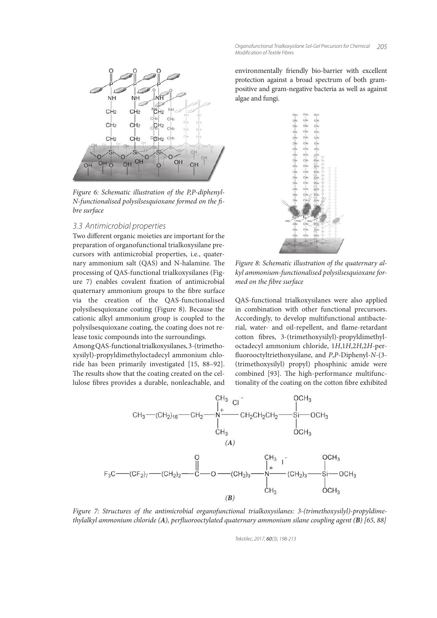

Figure 6: Schematic illustration of the P,P-diphenyl- $N$ -functionalised polysilsesquioxane formed on the fibre surface

#### *3.3 Antimicrobial properties*

Two different organic moieties are important for the preparation of organofunctional trialkoxysilane precursors with antimicrobial properties, i.e., quaternary ammonium salt (QAS) and N-halamine. The processing of QAS-functional trialkoxysilanes (Figure 7) enables covalent fixation of antimicrobial quaternary ammonium groups to the fibre surface via the creation of the QAS-functionalised polysilsesquioxane coating (Figure 8). Because the cationic alkyl ammonium group is coupled to the polysilsesquioxane coating, the coating does not release toxic compounds into the surroundings.

Among QAS-functional trialkoxysilanes, 3-(trimethoxysilyl)-propyldimethyloctadecyl ammonium chloride has been primarily investigated [15, 88–92]. The results show that the coating created on the cellulose fibres provides a durable, nonleachable, and environmentally friendly bio-barrier with excellent protection against a broad spectrum of both grampositive and gram-negative bacteria as well as against algae and fungi.



Figure 8: Schematic illustration of the quaternary alkyl ammonium-functionalised polysilsesquioxane formed on the fibre surface

QAS-functional trialkoxysilanes were also applied in combination with other functional precursors. Accordingly, to develop multifunctional antibacterial, water- and oil-repellent, and flame-retardant cotton fibres, 3-(trimethoxysilyl)-propyldimethyloctadecyl ammonium chloride, 1H,1H,2H,2H-per fluorooctyltriethoxysilane, and P,P-Diphenyl-N-(3-(trimethoxysilyl) propyl) phosphinic amide were combined [93]. The high-performance multifunctionality of the coating on the cotton fibre exhibited



Figure 7: Structures of the antimicrobial organofunctional trialkoxysilanes: 3-(trimethoxysilyl)-propyldimethylalkyl ammonium chloride (A), perfluorooctylated quaternary ammonium silane coupling agent (B) [65, 88]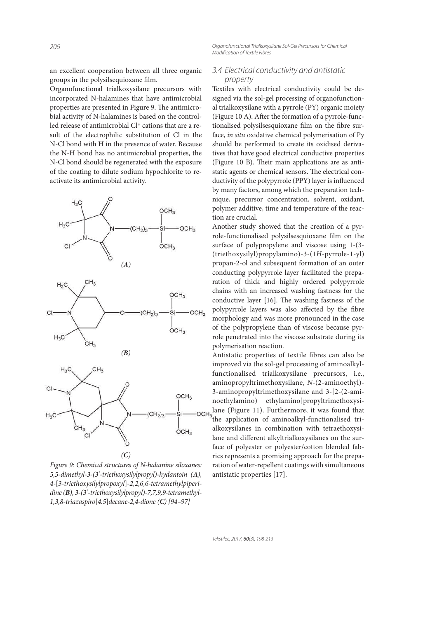*206 Organofunctional Trialkoxysilane Sol-Gel Precursors for Chemical Modifi cation of Textile Fibres*

an excellent cooperation between all three organic groups in the polysilsequioxane film.

Organofunctional trialkoxysilane precursors with incorporated N-halamines that have antimicrobial properties are presented in Figure 9. The antimicrobial activity of N-halamines is based on the controlled release of antimicrobial Cl<sup>+</sup> cations that are a result of the electrophilic substitution of Cl in the N-Cl bond with H in the presence of water. Because the N-H bond has no antimicrobial properties, the N-Cl bond should be regenerated with the exposure of the coating to dilute sodium hypochlorite to reactivate its antimicrobial activity.





Figure 9: Chemical structures of N-halamine siloxanes: 5,5-dimethyl-3-(3'-triethoxysilylpropyl)-hydantoin (**A**), 4-[3-triethoxysilylpropoxyl]-2,2,6,6-tetramethylpiperidine (**B**), 3-(3'-triethoxysilylpropyl)-7,7,9,9-tetramethyl-1,3,8-triazaspiro[4.5]decane-2,4-dione (**C**) [94–97]

#### *3.4 Electrical conductivity and antistatic property*

Textiles with electrical conductivity could be designed via the sol-gel processing of organofunctional trialkoxysilane with a pyrrole (PY) organic moiety (Figure 10 A). After the formation of a pyrrole-functionalised polysilsesquioxane film on the fibre surface, in situ oxidative chemical polymerisation of Py should be performed to create its oxidised derivatives that have good electrical conductive properties (Figure 10 B). Their main applications are as antistatic agents or chemical sensors. The electrical conductivity of the polypyrrole (PPY) layer is influenced by many factors, among which the preparation technique, precursor concentration, solvent, oxidant, polymer additive, time and temperature of the reaction are crucial.

Another study showed that the creation of a pyrrole-functionalised polysilsesquioxane film on the surface of polypropylene and viscose using 1-(3- (triethoxysilyl)propylamino)-3-(1H-pyrrole-1-yl) propan-2-ol and subsequent formation of an outer conducting polypyrrole layer facilitated the preparation of thick and highly ordered polypyrrole chains with an increased washing fastness for the conductive layer  $[16]$ . The washing fastness of the polypyrrole layers was also affected by the fibre morphology and was more pronounced in the case of the polypropylene than of viscose because pyrrole penetrated into the viscose substrate during its polymerisation reaction.

Antistatic properties of textile fibres can also be improved via the sol-gel processing of aminoalkylfunctionalised trialkoxysilane precursors, i.e., aminopropyltrimethoxysilane, N-(2-aminoethyl)- 3-aminopropyltrimethoxysilane and 3-[2-(2-aminoethylamino) ethylamino]propyltrimethoxysilane (Figure 11). Furthermore, it was found that the application of aminoalkyl-functionalised trialkoxysilanes in combination with tetraethoxysilane and different alkyltrialkoxysilanes on the surface of polyester or polyester/cotton blended fabrics represents a promising approach for the preparation of water-repellent coatings with simultaneous antistatic properties [17].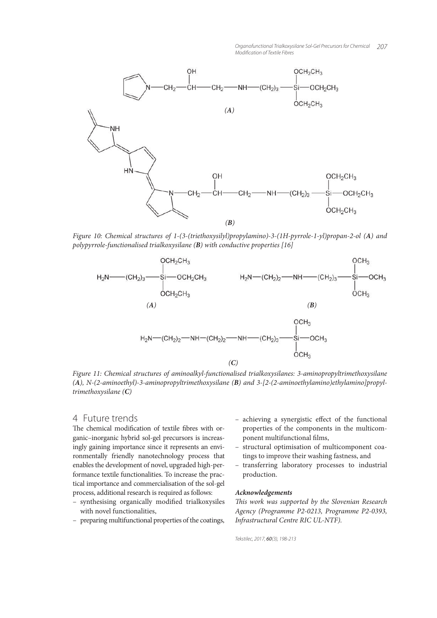*Organofunctional Trialkoxysilane Sol-Gel Precursors for Chemical 207 Modifi cation of Textile Fibres*



Figure 10: Chemical structures of 1-(3-(triethoxysilyl)propylamino)-3-(1H-pyrrole-1-yl)propan-2-ol (**A**) and polypyrrole-functionalised trialkoxysilane (**B**) with conductive properties [16]



Figure 11: Chemical structures of aminoalkyl-functionalised trialkoxysilanes: 3-aminopropyltrimethoxysilane (**A**), N-(2-aminoethyl)-3-aminopropyltrimethoxysilane (**B**) and 3-[2-(2-aminoethylamino)ethylamino]propyltrimethoxysilane (**C**)

#### 4 Future trends

The chemical modification of textile fibres with organic–inorganic hybrid sol-gel precursors is increasingly gaining importance since it represents an environmentally friendly nanotechnology process that enables the development of novel, upgraded high-performance textile functionalities. To increase the practical importance and commercialisation of the sol-gel process, additional research is required as follows:

- synthesising organically modified trialkoxysiles with novel functionalities,
- preparing multifunctional properties of the coatings,
- achieving a synergistic effect of the functional properties of the components in the multicomponent multifunctional films,
- structural optimisation of multicomponent coatings to improve their washing fastness, and
- transferring laboratory processes to industrial production.

#### **Acknowledgements**

This work was supported by the Slovenian Research Agency (Programme P2-0213, Programme P2-0393, Infrastructural Centre RIC UL-NTF).

```
Tekstilec, 2017, 60(3), 198-213
```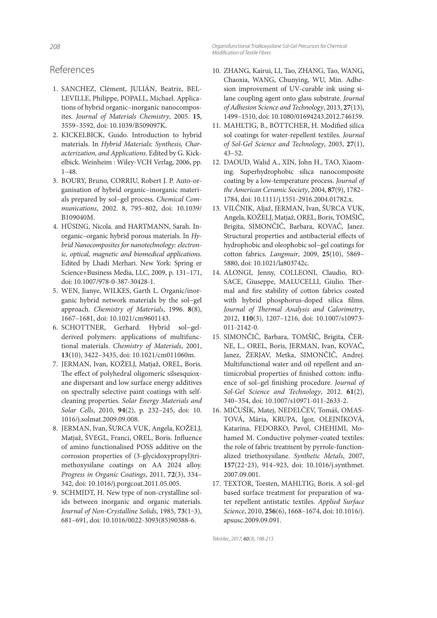*208 Organofunctional Trialkoxysilane Sol-Gel Precursors for Chemical Modifi cation of Textile Fibres*

# References

- 1. SANCHEZ, Clément, JULIÁN, Beatriz, BEL-LEVILLE, Philippe, POPALL, Michael. Applications of hybrid organic–inorganic nanocomposites. Journal of Materials Chemistry, 2005. **15**, 3559–3592, doi: 10.1039/B509097K.
- 2. KICKELBICK, Guido. Introduction to hybrid materials. In Hybrid Materials: Synthesis, Characterization, and Applications. Edited by G. Kickelbick. Weinheim : Wiley-VCH Verlag, 2006, pp. 1–48.
- 3. BOURY, Bruno, CORRIU, Robert J. P. Auto-organisation of hybrid organic–inorganic materials prepared by sol–gel process. Chemical Communications, 2002. 8, 795–802, doi: 10.1039/ B109040M.
- 4. HÜSING, Nicola. and HARTMANN, Sarah. Inorganic–organic hybrid porous materials. In Hybrid Nanocomposites for nanotechnology: electronic, optical, magnetic and biomedical applications. Edited by Lhadi Merhari. New York: Spring er Science+Business Media, LLC, 2009, p. 131–171, doi: 10.1007/978-0-387-30428-1.
- 5. WEN, Jianye, WILKES, Garth L. Organic/inorganic hybrid network materials by the sol−gel approach. Chemistry of Materials, 1996. **8**(8), 1667–1681, doi: 10.1021/cm9601143.
- 6. SCHOTTNER, Gerhard. Hybrid sol−gelderived polymers: applications of multifunctional materials. Chemistry of Materials, 2001, **13**(10), 3422–3435, doi: 10.1021/cm011060m.
- 7. JERMAN, Ivan, KOŽELJ, Matjaž, OREL, Boris. The effect of polyhedral oligomeric silsesquioxane dispersant and low surface energy additives on spectrally selective paint coatings with selfcleaning properties. Solar Energy Materials and Solar Cells, 2010, **94**(2), p. 232–245, doi: 10. 1016/j.solmat.2009.09.008.
- 8. JERMAN, Ivan, ŠURCA VUK, Angela, KOŽELJ, Matjaž, ŠVEGL, Franci, OREL, Boris. Influence of amino functionalised POSS additive on the corrosion properties of (3-glycidoxypropyl)trimethoxysilane coatings on AA 2024 alloy. Progress in Organic Coatings, 2011, **72**(3), 334– 342, doi: 10.1016/j.porgcoat.2011.05.005.
- 9. SCHMIDT, H. New type of non-crystalline solids between inorganic and organic materials. Journal of Non-Crystalline Solids, 1985, **73**(1‒3), 681–691, doi: 10.1016/0022-3093(85)90388-6.
- 10. ZHANG, Kairui, LI, Tao, ZHANG, Tao, WANG, Chaoxia, WANG, Chunying, WU, Min. Adhesion improvement of UV-curable ink using silane coupling agent onto glass substrate. Journal of Adhesion Science and Technology, 2013, **27**(13), 1499–1510, doi: 10.1080/01694243.2012.746159.
- 11. MAHLTIG, B., BÖTTCHER, H. Modified silica sol coatings for water-repellent textiles. Journal of Sol-Gel Science and Technology, 2003, **27**(1),  $43 - 52.$
- 12. DAOUD, Walid A., XIN, John H., TAO, Xiaoming. Superhydrophobic silica nanocomposite coating by a low-temperature process. Journal of the American Ceramic Society, 2004, **87**(9), 1782– 1784, doi: 10.1111/j.1551-2916.2004.01782.x.
- 13. VILČNIK, Aljaž, JERMAN, Ivan, ŠURCA VUK, Angela, KOŽELJ, Matjaž, OREL, Boris, TOMŠIČ, Brigita, SIMONČIČ, Barbara, KOVAČ, Janez. Structural properties and antibacterial effects of hydrophobic and oleophobic sol−gel coatings for cotton fabrics. Langmuir, 2009, **25**(10), 5869– 5880, doi: 10.1021/la803742c.
- 14. ALONGI, Jenny, COLLEONI, Claudio, RO-SACE, Giuseppe, MALUCELLI, Giulio. Thermal and fire stability of cotton fabrics coated with hybrid phosphorus-doped silica films. Journal of Thermal Analysis and Calorimetry, 2012, **110**(3), 1207–1216, doi: 10.1007/s10973- 011-2142-0.
- 15. SIMONČIČ, Barbara, TOMŠIČ, Brigita, ČER-NE, L., OREL, Boris, JERMAN, Ivan, KOVAČ, Janez, ŽERJAV, Metka, SIMONČIČ, Andrej. Multifunctional water and oil repellent and antimicrobial properties of finished cotton: influence of sol-gel finishing procedure. Journal of Sol-Gel Science and Technology, 2012. **61**(2), 340–354, doi: 10.1007/s10971-011-2633-2.
- 16. MIČUŠÍK, Matej, NEDELČEV, Tomáš, OMAS-TOVÁ, Mária, KRUPA, Igor, OLEJNÍKOVÁ, Katarína, FEDORKO, Pavol, CHEHIMI, Mohamed M. Conductive polymer-coated textiles: the role of fabric treatment by pyrrole-functionalized triethoxysilane. Synthetic Metals, 2007, **157**(22‒23), 914–923, doi: 10.1016/j.synthmet. 2007.09.001.
- 17. TEXTOR, Torsten, MAHLTIG, Boris. A sol–gel based surface treatment for preparation of water repellent antistatic textiles. Applied Surface Science, 2010, **256**(6), 1668–1674, doi: 10.1016/j. apsusc.2009.09.091.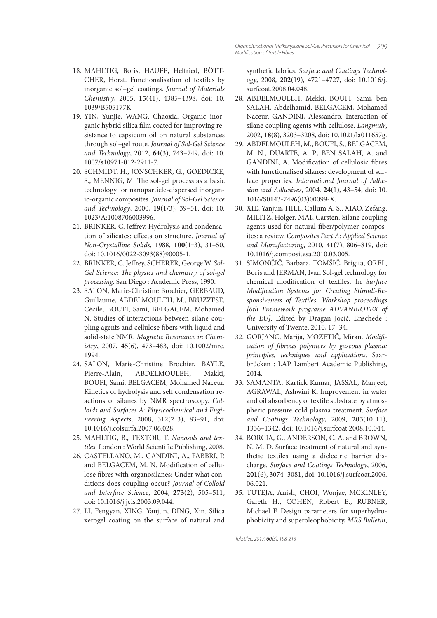- 18. MAHLTIG, Boris, HAUFE, Helfried, BÖTT-CHER, Horst. Functionalisation of textiles by inorganic sol–gel coatings. Journal of Materials Chemistry, 2005, **15**(41), 4385–4398, doi: 10. 1039/B505177K.
- 19. YIN, Yunjie, WANG, Chaoxia. Organic–inorganic hybrid silica film coated for improving resistance to capsicum oil on natural substances through sol–gel route. Journal of Sol-Gel Science and Technology, 2012, **64**(3), 743–749, doi: 10. 1007/s10971-012-2911-7.
- 20. SCHMIDT, H., JONSCHKER, G., GOEDICKE, S., MENNIG, M. The sol-gel process as a basic technology for nanoparticle-dispersed inorganic-organic composites. Journal of Sol-Gel Science and Technology, 2000, **19**(1/3), 39–51, doi: 10. 1023/A:1008706003996.
- 21. BRINKER, C. Jeffrey. Hydrolysis and condensation of silicates: effects on structure. Journal of Non-Crystalline Solids, 1988, **100**(1‒3), 31–50, doi: 10.1016/0022-3093(88)90005-1.
- 22. BRINKER, C. Jeffrey, SCHERER, George W. Sol-Gel Science: The physics and chemistry of sol-gel processing. San Diego : Academic Press, 1990.
- 23. SALON, Marie-Christine Brochier, GERBAUD, Guillaume, ABDELMOULEH, M., BRUZZESE, Cécile, BOUFI, Sami, BELGACEM, Mohamed N. Studies of interactions between silane coupling agents and cellulose fibers with liquid and solid-state NMR. Magnetic Resonance in Chemistry, 2007, **45**(6), 473–483, doi: 10.1002/mrc. 1994.
- 24. SALON, Marie-Christine Brochier, BAYLE, Pierre-Alain, ABDELMOULEH, Makki, BOUFI, Sami, BELGACEM, Mohamed Naceur. Kinetics of hydrolysis and self condensation reactions of silanes by NMR spectroscopy. Colloids and Surfaces A: Physicochemical and Engineering Aspects, 2008, 312(2-3), 83-91, doi: 10.1016/j.colsurfa.2007.06.028.
- 25. MAHLTIG, B., TEXTOR, T. Nanosols and textiles. London : World Scientific Publishing, 2008.
- 26. CASTELLANO, M., GANDINI, A., FABBRI, P. and BELGACEM, M. N. Modification of cellulose fibres with organosilanes: Under what conditions does coupling occur? Journal of Colloid and Interface Science, 2004, **273**(2), 505–511, doi: 10.1016/j.jcis.2003.09.044.
- 27. LI, Fengyan, XING, Yanjun, DING, Xin. Silica xerogel coating on the surface of natural and

synthetic fabrics. Surface and Coatings Technology, 2008, **202**(19), 4721–4727, doi: 10.1016/j. surfcoat.2008.04.048.

- 28. ABDELMOULEH, Mekki, BOUFI, Sami, ben SALAH, Abdelhamid, BELGACEM, Mohamed Naceur, GANDINI, Alessandro. Interaction of silane coupling agents with cellulose. Langmuir, 2002, **18**(8), 3203–3208, doi: 10.1021/la011657g.
- 29. ABDELMOULEH, M., BOUFI, S., BELGACEM, M. N., DUARTE, A. P., BEN SALAH, A. and GANDINI, A. Modification of cellulosic fibres with functionalised silanes: development of surface properties. International Journal of Adhesion and Adhesives, 2004. **24**(1), 43–54, doi: 10. 1016/S0143-7496(03)00099-X.
- 30. XIE, Yanjun, HILL, Callum A. S., XIAO, Zefang, MILITZ, Holger, MAI, Carsten. Silane coupling agents used for natural fiber/polymer composites: a review. Composites Part A: Applied Science and Manufacturing, 2010, **41**(7), 806–819, doi: 10.1016/j.compositesa.2010.03.005.
- 31. SIMONČIČ, Barbara, TOMŠIČ, Brigita, OREL, Boris and JERMAN, Ivan Sol-gel technology for chemical modification of textiles. In Surface Modification Systems for Creating Stimuli-Responsiveness of Textiles: Workshop proceedings [6th Framework programe ADVANBIOTEX of the EU]. Edited by Dragan Jocić. Enschede : University of Twente, 2010, 17–34.
- 32. GORJANC, Marija, MOZETIČ, Miran. Modification of fibrous polymers by gaseous plasma: principles, techniques and applications. Saarbrücken : LAP Lambert Academic Publishing, 2014.
- 33. SAMANTA, Kartick Kumar, JASSAL, Manjeet, AGRAWAL, Ashwini K. Improvement in water and oil absorbency of textile substrate by atmospheric pressure cold plasma treatment. Surface and Coatings Technology, 2009, 203(10-11), 1336–1342, doi: 10.1016/j.surfcoat.2008.10.044.
- 34. BORCIA, G., ANDERSON, C. A. and BROWN, N. M. D. Surface treatment of natural and synthetic textiles using a dielectric barrier discharge. Surface and Coatings Technology, 2006, **201**(6), 3074–3081, doi: 10.1016/j.surfcoat.2006. 06.021.
- 35. TUTEJA, Anish, CHOI, Wonjae, MCKINLEY, Gareth H., COHEN, Robert E., RUBNER, Michael F. Design parameters for superhydrophobicity and superoleophobicity, MRS Bulletin,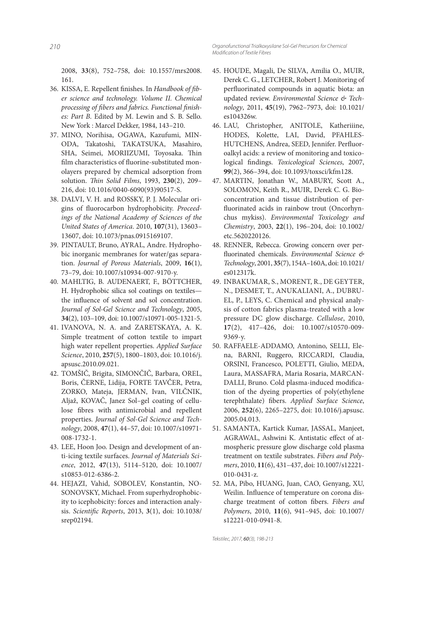2008, **33**(8), 752–758, doi: 10.1557/mrs2008. 161.

- 36. KISSA, E. Repellent finishes. In Handbook of fiber science and technology. Volume II. Chemical processing of fibers and fabrics. Functional finishes: Part B. Edited by M. Lewin and S. B. Sello. New York : Marcel Dekker, 1984, 143–210.
- 37. MINO, Norihisa, OGAWA, Kazufumi, MIN-ODA, Takatoshi, TAKATSUKA, Masahiro, SHA, Seimei, MORIIZUMI, Toyosaka. Thin film characteristics of fluorine-substituted monolayers prepared by chemical adsorption from solution. Thin Solid Films, 1993, 230(2), 209-216, doi: 10.1016/0040-6090(93)90517-S.
- 38. DALVI, V. H. and ROSSKY, P. J. Molecular origins of fluorocarbon hydrophobicity. Proceedings of the National Academy of Sciences of the United States of America. 2010, **107**(31), 13603– 13607, doi: 10.1073/pnas.0915169107.
- 39. PINTAULT, Bruno, AYRAL, Andre. Hydrophobic inorganic membranes for water/gas separation. Journal of Porous Materials, 2009, **16**(1), 73–79, doi: 10.1007/s10934-007-9170-y.
- 40. MAHLTIG, B. AUDENAERT, F., BÖTTCHER, H. Hydrophobic silica sol coatings on textiles the influence of solvent and sol concentration. Journal of Sol-Gel Science and Technology, 2005, **34**(2), 103–109, doi: 10.1007/s10971-005-1321-5.
- 41. IVANOVA, N. A. and ZARETSKAYA, A. K. Simple treatment of cotton textile to impart high water repellent properties. Applied Surface Science, 2010, **257**(5), 1800–1803, doi: 10.1016/j. apsusc.2010.09.021.
- 42. TOMŠIČ, Brigita, SIMONČIČ, Barbara, OREL, Boris, ČERNE, Lidija, FORTE TAVČER, Petra, ZORKO, Mateja, JERMAN, Ivan, VILČNIK, Aljaž, KOVAČ, Janez Sol–gel coating of cellulose fibres with antimicrobial and repellent properties. Journal of Sol-Gel Science and Technology, 2008, **47**(1), 44–57, doi: 10.1007/s10971- 008-1732-1.
- 43. LEE, Hoon Joo. Design and development of anti-icing textile surfaces. Journal of Materials Science, 2012, **47**(13), 5114–5120, doi: 10.1007/ s10853-012-6386-2.
- 44. HEJAZI, Vahid, SOBOLEV, Konstantin, NO-SONOVSKY, Michael. From superhydrophobicity to icephobicity: forces and interaction analysis. Scientific Reports, 2013, 3(1), doi: 10.1038/ srep02194.
- 45. HOUDE, Magali, De SILVA, Amilia O., MUIR, Derek C. G., LETCHER, Robert J. Monitoring of perfluorinated compounds in aquatic biota: an updated review. Environmental Science & Technology, 2011, **45**(19), 7962–7973, doi: 10.1021/ es104326w.
- 46. LAU, Christopher, ANITOLE, Katheriiine, HODES, Kolette, LAI, David, PFAHLES-HUTCHENS, Andrea, SEED, Jennifer. Perfluoroalkyl acids: a review of monitoring and toxicological findings. Toxicological Sciences, 2007, **99**(2), 366–394, doi: 10.1093/toxsci/kfm128.
- 47. MARTIN, Jonathan W., MABURY, Scott A., SOLOMON, Keith R., MUIR, Derek C. G. Bioconcentration and tissue distribution of per fluorinated acids in rainbow trout (Oncorhynchus mykiss). Environmental Toxicology and Chemistry, 2003, **22**(1), 196–204, doi: 10.1002/ etc.5620220126.
- 48. RENNER, Rebecca. Growing concern over per fluorinated chemicals. Environmental Science & Technology, 2001, **35**(7), 154A–160A, doi: 10.1021/ es012317k.
- 49. INBAKUMAR, S., MORENT, R., DE GEYTER, N., DESMET, T., ANUKALIANI, A., DUBRU-EL, P., LEYS, C. Chemical and physical analysis of cotton fabrics plasma-treated with a low pressure DC glow discharge. Cellulose, 2010, **17**(2), 417–426, doi: 10.1007/s10570-009- 9369-y.
- 50. RAFFAELE-ADDAMO, Antonino, SELLI, Elena, BARNI, Ruggero, RICCARDI, Claudia, ORSINI, Francesco, POLETTI, Giulio, MEDA, Laura, MASSAFRA, Maria Rosaria, MARCAN-DALLI, Bruno. Cold plasma-induced modification of the dyeing properties of poly(ethylene terephthalate) fibers. Applied Surface Science, 2006, **252**(6), 2265–2275, doi: 10.1016/j.apsusc. 2005.04.013.
- 51. SAMANTA, Kartick Kumar, JASSAL, Manjeet, AGRAWAL, Ashwini K. Antistatic effect of atmospheric pressure glow discharge cold plasma treatment on textile substrates. Fibers and Polymers, 2010, **11**(6), 431–437, doi: 10.1007/s12221- 010-0431-z.
- 52. MA, Pibo, HUANG, Juan, CAO, Genyang, XU, Weilin. Influence of temperature on corona discharge treatment of cotton fibers. Fibers and Polymers, 2010, **11**(6), 941–945, doi: 10.1007/ s12221-010-0941-8.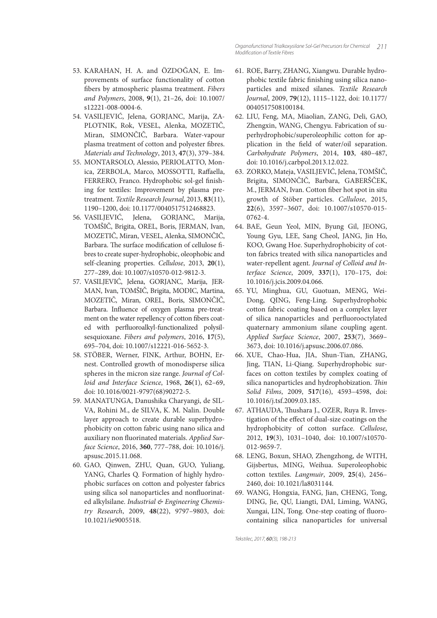*Organofunctional Trialkoxysilane Sol-Gel Precursors for Chemical 211 Modifi cation of Textile Fibres*

- 53. KARAHAN, H. A. and ÖZDOĞAN, E. Improvements of surface functionality of cotton fibers by atmospheric plasma treatment. Fibers and Polymers, 2008, **9**(1), 21–26, doi: 10.1007/ s12221-008-0004-6.
- 54. VASILJEVIĆ, Jelena, GORJANC, Marija, ZA-PLOTNIK, Rok, VESEL, Alenka, MOZETIČ, Miran, SIMONČIČ, Barbara. Water-vapour plasma treatment of cotton and polyester fibres. Materials and Technology, 2013, **47**(3), 379–384.
- 55. MONTARSOLO, Alessio, PERIOLATTO, Monica, ZERBOLA, Marco, MOSSOTTI, Raffaella, FERRERO, Franco. Hydrophobic sol-gel finishing for textiles: Improvement by plasma pretreatment. Textile Research Journal, 2013, **83**(11), 1190–1200, doi: 10.1177/0040517512468823.
- 56. VASILJEVIĆ, Jelena, GORJANC, Marija, TOMŠIČ, Brigita, OREL, Boris, JERMAN, Ivan, MOZETIČ, Miran, VESEL, Alenka, SIMONČIČ, Barbara. The surface modification of cellulose fibres to create super-hydrophobic, oleophobic and self-cleaning properties. Cellulose, 2013, **20**(1), 277–289, doi: 10.1007/s10570-012-9812-3.
- 57. VASILJEVIĆ, Jelena, GORJANC, Marija, JER-MAN, Ivan, TOMŠIČ, Brigita, MODIC, Martina, MOZETIČ, Miran, OREL, Boris, SIMONČIČ, Barbara. Influence of oxygen plasma pre-treatment on the water repellency of cotton fibers coated with perfluoroalkyl-functionalized polysilsesquioxane. Fibers and polymers, 2016, **17**(5), 695–704, doi: 10.1007/s12221-016-5652-3.
- 58. STÖBER, Werner, FINK, Arthur, BOHN, Ernest. Controlled growth of monodisperse silica spheres in the micron size range. Journal of Colloid and Interface Science, 1968, **26**(1), 62–69, doi: 10.1016/0021-9797(68)90272-5.
- 59. MANATUNGA, Danushika Charyangi, de SIL-VA, Rohini M., de SILVA, K. M. Nalin. Double layer approach to create durable superhydrophobicity on cotton fabric using nano silica and auxiliary non fluorinated materials. Applied Surface Science, 2016, **360**, 777–788, doi: 10.1016/j. apsusc.2015.11.068.
- 60. GAO, Qinwen, ZHU, Quan, GUO, Yuliang, YANG, Charles Q. Formation of highly hydrophobic surfaces on cotton and polyester fabrics using silica sol nanoparticles and nonfluorinated alkylsilane. Industrial & Engineering Chemistry Research, 2009, **48**(22), 9797–9803, doi: 10.1021/ie9005518.
- 61. ROE, Barry, ZHANG, Xiangwu. Durable hydrophobic textile fabric finishing using silica nanoparticles and mixed silanes. Textile Research Journal, 2009, **79**(12), 1115–1122, doi: 10.1177/ 0040517508100184.
- 62. LIU, Feng, MA, Miaolian, ZANG, Deli, GAO, Zhengxin, WANG, Chengyu. Fabrication of superhydrophobic/superoleophilic cotton for application in the field of water/oil separation. Carbohydrate Polymers, 2014, **103**, 480–487, doi: 10.1016/j.carbpol.2013.12.022.
- 63. ZORKO, Mateja, VASILJEVIĆ, Jelena, TOMŠIČ, Brigita, SIMONČIČ, Barbara, GABERŠČEK, M., JERMAN, Ivan. Cotton fiber hot spot in situ growth of Stöber particles. Cellulose, 2015, **22**(6), 3597–3607, doi: 10.1007/s10570-015- 0762-4.
- 64. BAE, Geun Yeol, MIN, Byung Gil, JEONG, Young Gyu, LEE, Sang Cheol, JANG, Jin Ho, KOO, Gwang Hoe. Superhydrophobicity of cotton fabrics treated with silica nanoparticles and water-repellent agent. Journal of Colloid and Interface Science, 2009, **337**(1), 170–175, doi: 10.1016/j.jcis.2009.04.066.
- 65. YU, Minghua, GU, Guotuan, MENG, Wei-Dong, QING, Feng-Ling. Superhydrophobic cotton fabric coating based on a complex layer of silica nanoparticles and perfluorooctylated quaternary ammonium silane coupling agent. Applied Surface Science, 2007, **253**(7), 3669– 3673, doi: 10.1016/j.apsusc.2006.07.086.
- 66. XUE, Chao-Hua, JIA, Shun-Tian, ZHANG, Jing, TIAN, Li-Qiang. Superhydrophobic surfaces on cotton textiles by complex coating of silica nanoparticles and hydrophobization. Thin Solid Films, 2009, **517**(16), 4593–4598, doi: 10.1016/j.tsf.2009.03.185.
- 67. ATHAUDA, Thushara J., OZER, Ruya R. Investigation of the effect of dual-size coatings on the hydrophobicity of cotton surface. Cellulose, 2012, **19**(3), 1031–1040, doi: 10.1007/s10570- 012-9659-7.
- 68. LENG, Boxun, SHAO, Zhengzhong, de WITH, Gijsbertus, MING, Weihua. Superoleophobic cotton textiles. Langmuir, 2009, **25**(4), 2456– 2460, doi: 10.1021/la8031144.
- 69. WANG, Hongxia, FANG, Jian, CHENG, Tong, DING, Jie, QU, Liangti, DAI, Liming, WANG, Xungai, LIN, Tong. One-step coating of fluorocontaining silica nanoparticles for universal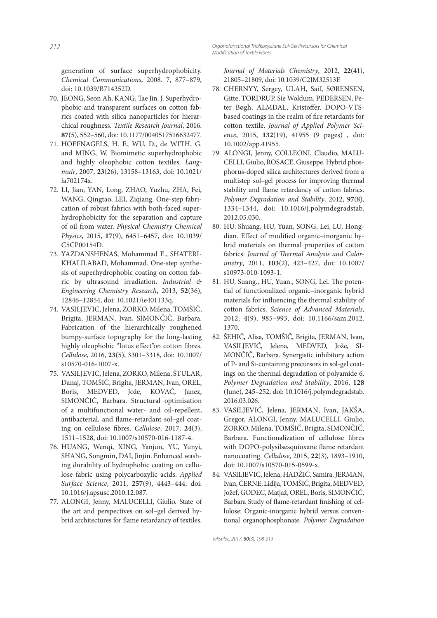generation of surface superhydrophobicity. Chemical Communications, 2008. 7, 877–879, doi: 10.1039/B714352D.

- 70. JEONG, Seon Ah, KANG, Tae Jin. J. Superhydrophobic and transparent surfaces on cotton fabrics coated with silica nanoparticles for hierarchical roughness. Textile Research Journal, 2016. **87**(5), 552–560, doi: 10.1177/0040517516632477.
- 71. HOEFNAGELS, H. F., WU, D., de WITH, G. and MING, W. Biomimetic superhydrophobic and highly oleophobic cotton textiles. Langmuir, 2007, **23**(26), 13158–13163, doi: 10.1021/ la702174x.
- 72. LI, Jian, YAN, Long, ZHAO, Yuzhu, ZHA, Fei, WANG, Qingtao, LEI, Ziqiang. One-step fabrication of robust fabrics with both-faced superhydrophobicity for the separation and capture of oil from water. Physical Chemistry Chemical Physics, 2015, **17**(9), 6451–6457, doi: 10.1039/ C5CP00154D.
- 73. YAZDANSHENAS, Mohammad E., SHATERI-KHALILABAD, Mohammad. One-step synthesis of superhydrophobic coating on cotton fabric by ultrasound irradiation. Industrial & Engineering Chemistry Research, 2013, **52**(36), 12846–12854, doi: 10.1021/ie401133q.
- 74. VASILJEVIĆ, Jelena, ZORKO, Milena, TOMŠIČ, Brigita, JERMAN, Ivan, SIMONČIČ, Barbara. Fabrication of the hierarchically roughened bumpy-surface topography for the long-lasting highly oleophobic "lotus effect"on cotton fibres. Cellulose, 2016, **23**(5), 3301–3318, doi: 10.1007/ s10570-016-1007-x.
- 75. VASILJEVIĆ, Jelena, ZORKO, Milena, ŠTULAR, Danaj, TOMŠIČ, Brigita, JERMAN, Ivan, OREL, Boris, MEDVED, Jože, KOVAČ, Janez, SIMONČIČ, Barbara. Structural optimisation of a multifunctional water- and oil-repellent, antibacterial, and flame-retardant sol-gel coating on cellulose bres. Cellulose, 2017, **24**(3), 1511–1528, doi: 10.1007/s10570-016-1187-4.
- 76. HUANG, Wenqi, XING, Yanjun, YU, Yunyi, SHANG, Songmin, DAI, Jinjin. Enhanced washing durability of hydrophobic coating on cellulose fabric using polycarboxylic acids. Applied Surface Science, 2011, **257**(9), 4443–444, doi: 10.1016/j.apsusc.2010.12.087.
- 77. ALONGI, Jenny, MALUCELLI, Giulio. State of the art and perspectives on sol–gel derived hybrid architectures for flame retardancy of textiles.

Journal of Materials Chemistry, 2012, **22**(41), 21805–21809, doi: 10.1039/C2JM32513F.

- 78. CHERNYY, Sergey, ULAH, Saif, SØRENSEN, Gitte, TORDRUP, Sie Woldum, PEDERSEN, Peter Bøgh, ALMDAL, Kristoffer. DOPO-VTSbased coatings in the realm of fire retardants for cotton textile. Journal of Applied Polymer Science, 2015, **132**(19), 41955 (9 pages) , doi: 10.1002/app.41955.
- 79. ALONGI, Jenny, COLLEONI, Claudio, MALU-CELLI, Giulio, ROSACE, Giuseppe. Hybrid phosphorus-doped silica architectures derived from a multistep sol–gel process for improving thermal stability and flame retardancy of cotton fabrics. Polymer Degradation and Stability, 2012, **97**(8), 1334–1344, doi: 10.1016/j.polymdegradstab. 2012.05.030.
- 80. HU, Shuang, HU, Yuan, SONG, Lei, LU, Hongdian. Effect of modified organic-inorganic hybrid materials on thermal properties of cotton fabrics. Journal of Thermal Analysis and Calorimetry, 2011, **103**(2), 423–427, doi: 10.1007/ s10973-010-1093-1.
- 81. HU, Suang., HU, Yuan., SONG, Lei. The potential of functionalized organic–inorganic hybrid materials for influencing the thermal stability of cotton fabrics. Science of Advanced Materials, 2012, **4**(9), 985–993, doi: 10.1166/sam.2012. 1370.
- 82. ŠEHIĆ, Alisa, TOMŠIČ, Brigita, JERMAN, Ivan, VASILJEVIĆ, Jelena, MEDVED, Jože, SI-MONČIČ, Barbara. Synergistic inhibitory action of P- and Si-containing precursors in sol-gel coatings on the thermal degradation of polyamide 6. Polymer Degradation and Stability, 2016, **128**  (June), 245–252, doi: 10.1016/j.polymdegradstab. 2016.03.026.
- 83. VASILJEVIĆ, Jelena, JERMAN, Ivan, JAKŠA, Gregor, ALONGI, Jenny, MALUCELLI, Giulio, ZORKO, Milena, TOMŠIČ, Brigita, SIMONČIČ, Barbara. Functionalization of cellulose fibres with DOPO-polysilsesquioxane flame retardant nanocoating. Cellulose, 2015, **22**(3), 1893–1910, doi: 10.1007/s10570-015-0599-x.
- 84. VASILJEVIĆ, Jelena, HADŽIĆ, Samira, JERMAN, Ivan, ČERNE, Lidija, TOMŠIČ, Brigita, MEDVED, Jožef, GODEC, Matjaž, OREL, Boris, SIMONČIČ, Barbara Study of flame-retardant finishing of cellulose: Organic-inorganic hybrid versus conventional organophosphonate. Polymer Degradation